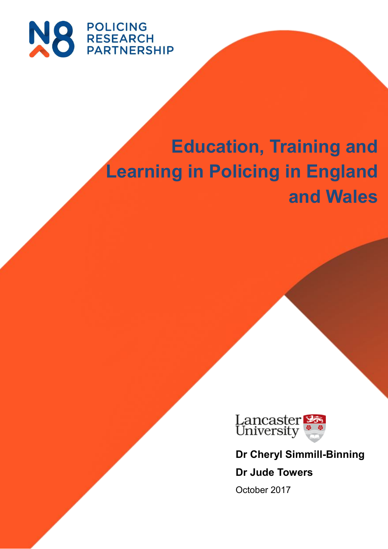

# **Education, Training and Learning in Policing in England and Wales**



**Dr Cheryl Simmill-Binning Dr Jude Towers**

October 2017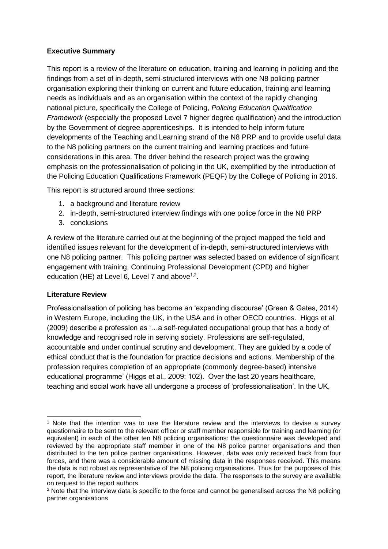# <span id="page-1-0"></span>**Executive Summary**

This report is a review of the literature on education, training and learning in policing and the findings from a set of in-depth, semi-structured interviews with one N8 policing partner organisation exploring their thinking on current and future education, training and learning needs as individuals and as an organisation within the context of the rapidly changing national picture, specifically the College of Policing, *Policing Education Qualification Framework* (especially the proposed Level 7 higher degree qualification) and the introduction by the Government of degree apprenticeships. It is intended to help inform future developments of the Teaching and Learning strand of the N8 PRP and to provide useful data to the N8 policing partners on the current training and learning practices and future considerations in this area. The driver behind the research project was the growing emphasis on the professionalisation of policing in the UK, exemplified by the introduction of the Policing Education Qualifications Framework (PEQF) by the College of Policing in 2016.

This report is structured around three sections:

- 1. a background and literature review
- 2. in-depth, semi-structured interview findings with one police force in the N8 PRP
- 3. conclusions

A review of the literature carried out at the beginning of the project mapped the field and identified issues relevant for the development of in-depth, semi-structured interviews with one N8 policing partner. This policing partner was selected based on evidence of significant engagement with training, Continuing Professional Development (CPD) and higher education (HE) at Level 6, Level 7 and above $1,2$ .

## <span id="page-1-1"></span>**Literature Review**

-

Professionalisation of policing has become an 'expanding discourse' (Green & Gates, 2014) in Western Europe, including the UK, in the USA and in other OECD countries. Higgs et al (2009) describe a profession as '…a self-regulated occupational group that has a body of knowledge and recognised role in serving society. Professions are self-regulated, accountable and under continual scrutiny and development. They are guided by a code of ethical conduct that is the foundation for practice decisions and actions. Membership of the profession requires completion of an appropriate (commonly degree-based) intensive educational programme' (Higgs et al., 2009: 102). Over the last 20 years healthcare, teaching and social work have all undergone a process of 'professionalisation'. In the UK,

<sup>1</sup> Note that the intention was to use the literature review and the interviews to devise a survey questionnaire to be sent to the relevant officer or staff member responsible for training and learning (or equivalent) in each of the other ten N8 policing organisations: the questionnaire was developed and reviewed by the appropriate staff member in one of the N8 police partner organisations and then distributed to the ten police partner organisations. However, data was only received back from four forces, and there was a considerable amount of missing data in the responses received. This means the data is not robust as representative of the N8 policing organisations. Thus for the purposes of this report, the literature review and interviews provide the data. The responses to the survey are available on request to the report authors.

<sup>2</sup> Note that the interview data is specific to the force and cannot be generalised across the N8 policing partner organisations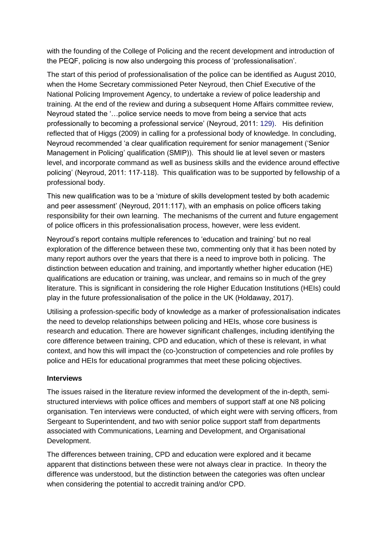with the founding of the College of Policing and the recent development and introduction of the PEQF, policing is now also undergoing this process of 'professionalisation'.

The start of this period of professionalisation of the police can be identified as August 2010, when the Home Secretary commissioned Peter Neyroud, then Chief Executive of the National Policing Improvement Agency, to undertake a review of police leadership and training. At the end of the review and during a subsequent Home Affairs committee review, Neyroud stated the '…police service needs to move from being a service that acts professionally to becoming a professional service' (Neyroud, 2011: [129\)](https://www.publications.parliament.uk/pa/cm201012/cmselect/cmhaff/939/93906.htm#note129). His definition reflected that of Higgs (2009) in calling for a professional body of knowledge. In concluding, Neyroud recommended 'a clear qualification requirement for senior management ('Senior Management in Policing' qualification (SMIP)). This should lie at level seven or masters level, and incorporate command as well as business skills and the evidence around effective policing' (Neyroud, 2011: 117-118). This qualification was to be supported by fellowship of a professional body.

This new qualification was to be a 'mixture of skills development tested by both academic and peer assessment' (Neyroud, 2011:117), with an emphasis on police officers taking responsibility for their own learning. The mechanisms of the current and future engagement of police officers in this professionalisation process, however, were less evident.

Neyroud's report contains multiple references to 'education and training' but no real exploration of the difference between these two, commenting only that it has been noted by many report authors over the years that there is a need to improve both in policing. The distinction between education and training, and importantly whether higher education (HE) qualifications are education or training, was unclear, and remains so in much of the grey literature. This is significant in considering the role Higher Education Institutions (HEIs) could play in the future professionalisation of the police in the UK (Holdaway, 2017).

Utilising a profession-specific body of knowledge as a marker of professionalisation indicates the need to develop relationships between policing and HEIs, whose core business is research and education. There are however significant challenges, including identifying the core difference between training, CPD and education, which of these is relevant, in what context, and how this will impact the (co-)construction of competencies and role profiles by police and HEIs for educational programmes that meet these policing objectives.

#### <span id="page-2-0"></span>**Interviews**

The issues raised in the literature review informed the development of the in-depth, semistructured interviews with police offices and members of support staff at one N8 policing organisation. Ten interviews were conducted, of which eight were with serving officers, from Sergeant to Superintendent, and two with senior police support staff from departments associated with Communications, Learning and Development, and Organisational Development.

The differences between training, CPD and education were explored and it became apparent that distinctions between these were not always clear in practice. In theory the difference was understood, but the distinction between the categories was often unclear when considering the potential to accredit training and/or CPD.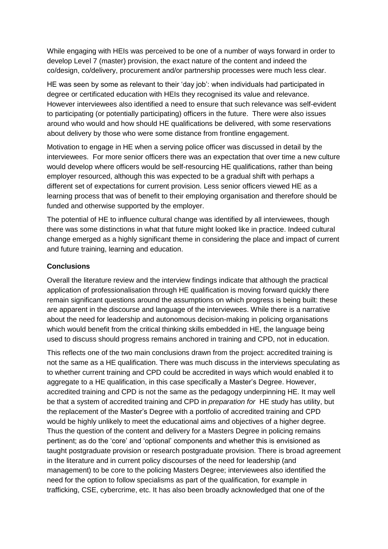While engaging with HEIs was perceived to be one of a number of ways forward in order to develop Level 7 (master) provision, the exact nature of the content and indeed the co/design, co/delivery, procurement and/or partnership processes were much less clear.

HE was seen by some as relevant to their 'day job': when individuals had participated in degree or certificated education with HEIs they recognised its value and relevance. However interviewees also identified a need to ensure that such relevance was self-evident to participating (or potentially participating) officers in the future. There were also issues around who would and how should HE qualifications be delivered, with some reservations about delivery by those who were some distance from frontline engagement.

Motivation to engage in HE when a serving police officer was discussed in detail by the interviewees. For more senior officers there was an expectation that over time a new culture would develop where officers would be self-resourcing HE qualifications, rather than being employer resourced, although this was expected to be a gradual shift with perhaps a different set of expectations for current provision. Less senior officers viewed HE as a learning process that was of benefit to their employing organisation and therefore should be funded and otherwise supported by the employer.

The potential of HE to influence cultural change was identified by all interviewees, though there was some distinctions in what that future might looked like in practice. Indeed cultural change emerged as a highly significant theme in considering the place and impact of current and future training, learning and education.

#### <span id="page-3-0"></span>**Conclusions**

Overall the literature review and the interview findings indicate that although the practical application of professionalisation through HE qualification is moving forward quickly there remain significant questions around the assumptions on which progress is being built: these are apparent in the discourse and language of the interviewees. While there is a narrative about the need for leadership and autonomous decision-making in policing organisations which would benefit from the critical thinking skills embedded in HE, the language being used to discuss should progress remains anchored in training and CPD, not in education.

This reflects one of the two main conclusions drawn from the project: accredited training is not the same as a HE qualification. There was much discuss in the interviews speculating as to whether current training and CPD could be accredited in ways which would enabled it to aggregate to a HE qualification, in this case specifically a Master's Degree. However, accredited training and CPD is not the same as the pedagogy underpinning HE. It may well be that a system of accredited training and CPD in *preparation for* HE study has utility, but the replacement of the Master's Degree with a portfolio of accredited training and CPD would be highly unlikely to meet the educational aims and objectives of a higher degree. Thus the question of the content and delivery for a Masters Degree in policing remains pertinent; as do the 'core' and 'optional' components and whether this is envisioned as taught postgraduate provision or research postgraduate provision. There is broad agreement in the literature and in current policy discourses of the need for leadership (and management) to be core to the policing Masters Degree; interviewees also identified the need for the option to follow specialisms as part of the qualification, for example in trafficking, CSE, cybercrime, etc. It has also been broadly acknowledged that one of the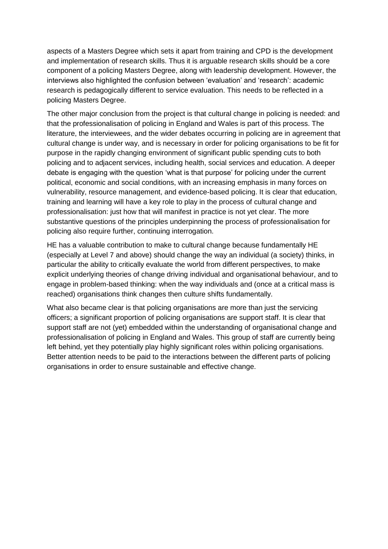aspects of a Masters Degree which sets it apart from training and CPD is the development and implementation of research skills. Thus it is arguable research skills should be a core component of a policing Masters Degree, along with leadership development. However, the interviews also highlighted the confusion between 'evaluation' and 'research': academic research is pedagogically different to service evaluation. This needs to be reflected in a policing Masters Degree.

The other major conclusion from the project is that cultural change in policing is needed: and that the professionalisation of policing in England and Wales is part of this process. The literature, the interviewees, and the wider debates occurring in policing are in agreement that cultural change is under way, and is necessary in order for policing organisations to be fit for purpose in the rapidly changing environment of significant public spending cuts to both policing and to adjacent services, including health, social services and education. A deeper debate is engaging with the question 'what is that purpose' for policing under the current political, economic and social conditions, with an increasing emphasis in many forces on vulnerability, resource management, and evidence-based policing. It is clear that education, training and learning will have a key role to play in the process of cultural change and professionalisation: just how that will manifest in practice is not yet clear. The more substantive questions of the principles underpinning the process of professionalisation for policing also require further, continuing interrogation.

HE has a valuable contribution to make to cultural change because fundamentally HE (especially at Level 7 and above) should change the way an individual (a society) thinks, in particular the ability to critically evaluate the world from different perspectives, to make explicit underlying theories of change driving individual and organisational behaviour, and to engage in problem-based thinking: when the way individuals and (once at a critical mass is reached) organisations think changes then culture shifts fundamentally.

What also became clear is that policing organisations are more than just the servicing officers; a significant proportion of policing organisations are support staff. It is clear that support staff are not (yet) embedded within the understanding of organisational change and professionalisation of policing in England and Wales. This group of staff are currently being left behind, yet they potentially play highly significant roles within policing organisations. Better attention needs to be paid to the interactions between the different parts of policing organisations in order to ensure sustainable and effective change.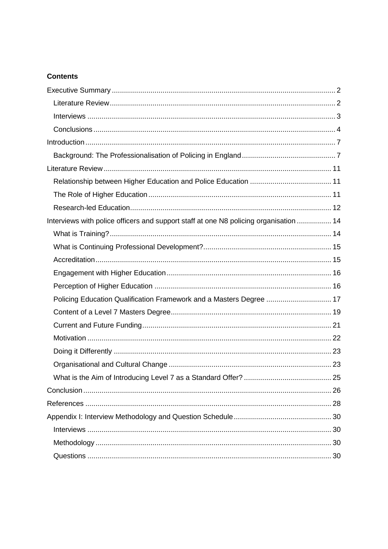# **Contents**

| Interviews with police officers and support staff at one N8 policing organisation  14 |  |
|---------------------------------------------------------------------------------------|--|
|                                                                                       |  |
|                                                                                       |  |
|                                                                                       |  |
|                                                                                       |  |
|                                                                                       |  |
| Policing Education Qualification Framework and a Masters Degree  17                   |  |
|                                                                                       |  |
|                                                                                       |  |
|                                                                                       |  |
|                                                                                       |  |
|                                                                                       |  |
|                                                                                       |  |
|                                                                                       |  |
|                                                                                       |  |
|                                                                                       |  |
|                                                                                       |  |
|                                                                                       |  |
|                                                                                       |  |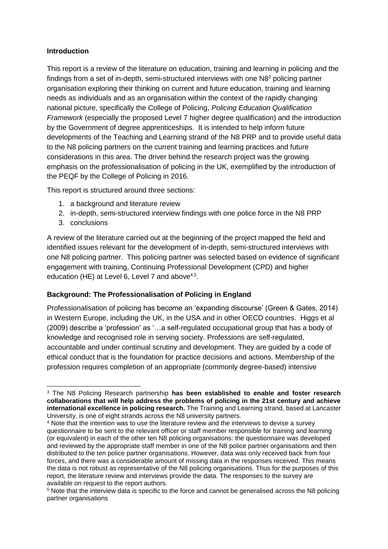## <span id="page-6-0"></span>**Introduction**

This report is a review of the literature on education, training and learning in policing and the findings from a set of in-depth, semi-structured interviews with one N8<sup>3</sup> policing partner organisation exploring their thinking on current and future education, training and learning needs as individuals and as an organisation within the context of the rapidly changing national picture, specifically the College of Policing, *Policing Education Qualification Framework* (especially the proposed Level 7 higher degree qualification) and the introduction by the Government of degree apprenticeships. It is intended to help inform future developments of the Teaching and Learning strand of the N8 PRP and to provide useful data to the N8 policing partners on the current training and learning practices and future considerations in this area. The driver behind the research project was the growing emphasis on the professionalisation of policing in the UK, exemplified by the introduction of the PEQF by the College of Policing in 2016.

This report is structured around three sections:

- 1. a background and literature review
- 2. in-depth, semi-structured interview findings with one police force in the N8 PRP
- 3. conclusions

**.** 

A review of the literature carried out at the beginning of the project mapped the field and identified issues relevant for the development of in-depth, semi-structured interviews with one N8 policing partner. This policing partner was selected based on evidence of significant engagement with training, Continuing Professional Development (CPD) and higher education (HE) at Level 6, Level 7 and above $4.5$ .

## <span id="page-6-1"></span>**Background: The Professionalisation of Policing in England**

Professionalisation of policing has become an 'expanding discourse' (Green & Gates, 2014) in Western Europe, including the UK, in the USA and in other OECD countries. Higgs et al (2009) describe a 'profession' as '…a self-regulated occupational group that has a body of knowledge and recognised role in serving society. Professions are self-regulated, accountable and under continual scrutiny and development. They are guided by a code of ethical conduct that is the foundation for practice decisions and actions. Membership of the profession requires completion of an appropriate (commonly degree-based) intensive

<sup>3</sup> The N8 Policing Research partnership **has been established to enable and foster research collaborations that will help address the problems of policing in the 21st century and achieve international excellence in policing research.** The Training and Learning strand, based at Lancaster University, is one of eight strands across the N8 university partners.

<sup>4</sup> Note that the intention was to use the literature review and the interviews to devise a survey questionnaire to be sent to the relevant officer or staff member responsible for training and learning (or equivalent) in each of the other ten N8 policing organisations: the questionnaire was developed and reviewed by the appropriate staff member in one of the N8 police partner organisations and then distributed to the ten police partner organisations. However, data was only received back from four forces, and there was a considerable amount of missing data in the responses received. This means the data is not robust as representative of the N8 policing organisations. Thus for the purposes of this report, the literature review and interviews provide the data. The responses to the survey are available on request to the report authors.

<sup>5</sup> Note that the interview data is specific to the force and cannot be generalised across the N8 policing partner organisations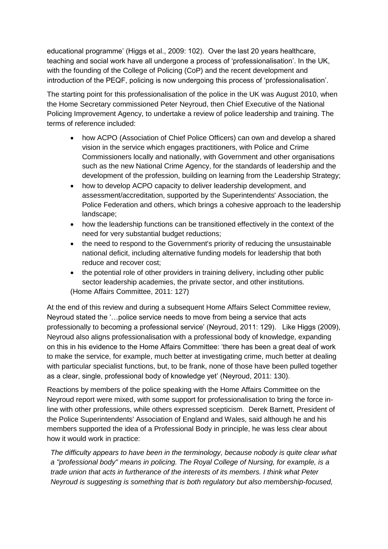educational programme' (Higgs et al., 2009: 102). Over the last 20 years healthcare, teaching and social work have all undergone a process of 'professionalisation'. In the UK, with the founding of the College of Policing (CoP) and the recent development and introduction of the PEQF, policing is now undergoing this process of 'professionalisation'.

The starting point for this professionalisation of the police in the UK was August 2010, when the Home Secretary commissioned Peter Neyroud, then Chief Executive of the National Policing Improvement Agency, to undertake a review of police leadership and training. The terms of reference included:

- how ACPO (Association of Chief Police Officers) can own and develop a shared vision in the service which engages practitioners, with Police and Crime Commissioners locally and nationally, with Government and other organisations such as the new National Crime Agency, for the standards of leadership and the development of the profession, building on learning from the Leadership Strategy;
- how to develop ACPO capacity to deliver leadership development, and assessment/accreditation, supported by the Superintendents' Association, the Police Federation and others, which brings a cohesive approach to the leadership landscape;
- how the leadership functions can be transitioned effectively in the context of the need for very substantial budget reductions;
- the need to respond to the Government's priority of reducing the unsustainable national deficit, including alternative funding models for leadership that both reduce and recover cost;
- the potential role of other providers in training delivery, including other public sector leadership academies, the private sector, and other institutions. (Home Affairs Committee, 2011: 127)

At the end of this review and during a subsequent Home Affairs Select Committee review, Neyroud stated the '…police service needs to move from being a service that acts professionally to becoming a professional service' (Neyroud, 2011: 129). Like Higgs (2009), Neyroud also aligns professionalisation with a professional body of knowledge, expanding on this in his evidence to the Home Affairs Committee: 'there has been a great deal of work to make the service, for example, much better at investigating crime, much better at dealing with particular specialist functions, but, to be frank, none of those have been pulled together as a clear, single, professional body of knowledge yet' (Neyroud, 2011: 130).

Reactions by members of the police speaking with the Home Affairs Committee on the Neyroud report were mixed, with some support for professionalisation to bring the force inline with other professions, while others expressed scepticism. Derek Barnett, President of the Police Superintendents' Association of England and Wales, said although he and his members supported the idea of a Professional Body in principle, he was less clear about how it would work in practice:

*The difficulty appears to have been in the terminology, because nobody is quite clear what a "professional body" means in policing. The Royal College of Nursing, for example, is a trade union that acts in furtherance of the interests of its members. I think what Peter Neyroud is suggesting is something that is both regulatory but also membership-focused,*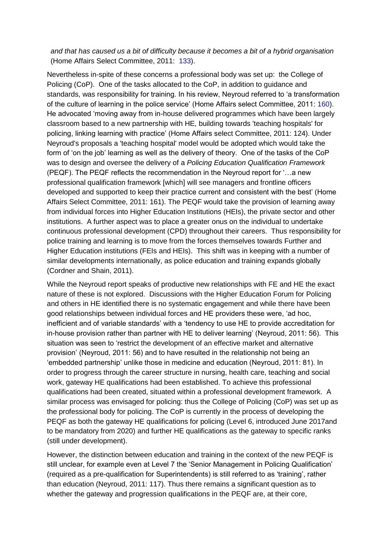#### *and that has caused us a bit of difficulty because it becomes a bit of a hybrid organisation* (Home Affairs Select Committee, 2011: [133\)](https://www.publications.parliament.uk/pa/cm201012/cmselect/cmhaff/939/93906.htm#note133).

Nevertheless in-spite of these concerns a professional body was set up: the College of Policing (CoP). One of the tasks allocated to the CoP, in addition to guidance and standards, was responsibility for training. In his review, Neyroud referred to 'a transformation of the culture of learning in the police service' (Home Affairs select Committee, 2011: [160\)](https://www.publications.parliament.uk/pa/cm201012/cmselect/cmhaff/939/93906.htm#note160). He advocated 'moving away from in-house delivered programmes which have been largely classroom based to a new partnership with HE, building towards 'teaching hospitals' for policing, linking learning with practice' (Home Affairs select Committee, 2011: 124). Under Neyroud's proposals a 'teaching hospital' model would be adopted which would take the form of 'on the job' learning as well as the delivery of theory. One of the tasks of the CoP was to design and oversee the delivery of a *Policing Education Qualification Framework* (PEQF). The PEQF reflects the recommendation in the Neyroud report for '…a new professional qualification framework [which] will see managers and frontline officers developed and supported to keep their practice current and consistent with the best' (Home Affairs Select Committee, 2011: 161). The PEQF would take the provision of learning away from individual forces into Higher Education Institutions (HEIs), the private sector and other institutions. A further aspect was to place a greater onus on the individual to undertake continuous professional development (CPD) throughout their careers. Thus responsibility for police training and learning is to move from the forces themselves towards Further and Higher Education institutions (FEIs and HEIs). This shift was in keeping with a number of similar developments internationally, as police education and training expands globally (Cordner and Shain, 2011).

While the Neyroud report speaks of productive new relationships with FE and HE the exact nature of these is not explored. Discussions with the Higher Education Forum for Policing and others in HE identified there is no systematic engagement and while there have been good relationships between individual forces and HE providers these were, 'ad hoc, inefficient and of variable standards' with a 'tendency to use HE to provide accreditation for in-house provision rather than partner with HE to deliver learning' (Neyroud, 2011: 56). This situation was seen to 'restrict the development of an effective market and alternative provision' (Neyroud, 2011: 56) and to have resulted in the relationship not being an 'embedded partnership' unlike those in medicine and education (Neyroud, 2011: 81). In order to progress through the career structure in nursing, health care, teaching and social work, gateway HE qualifications had been established. To achieve this professional qualifications had been created, situated within a professional development framework. A similar process was envisaged for policing: thus the College of Policing (CoP) was set up as the professional body for policing. The CoP is currently in the process of developing the PEQF as both the gateway HE qualifications for policing (Level 6, introduced June 2017and to be mandatory from 2020) and further HE qualifications as the gateway to specific ranks (still under development).

However, the distinction between education and training in the context of the new PEQF is still unclear, for example even at Level 7 the 'Senior Management in Policing Qualification' (required as a pre-qualification for Superintendents) is still referred to as 'training', rather than education (Neyroud, 2011: 117). Thus there remains a significant question as to whether the gateway and progression qualifications in the PEQF are, at their core,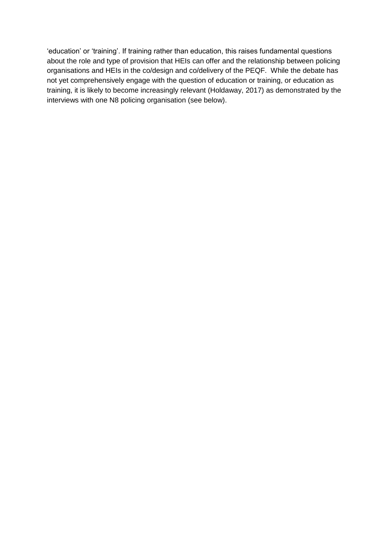'education' or 'training'. If training rather than education, this raises fundamental questions about the role and type of provision that HEIs can offer and the relationship between policing organisations and HEIs in the co/design and co/delivery of the PEQF. While the debate has not yet comprehensively engage with the question of education or training, or education as training, it is likely to become increasingly relevant (Holdaway, 2017) as demonstrated by the interviews with one N8 policing organisation (see below).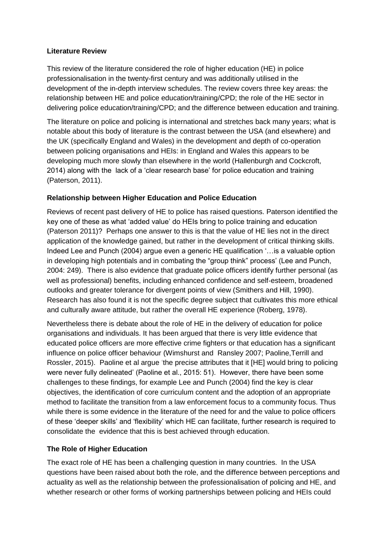#### <span id="page-10-0"></span>**Literature Review**

This review of the literature considered the role of higher education (HE) in police professionalisation in the twenty-first century and was additionally utilised in the development of the in-depth interview schedules. The review covers three key areas: the relationship between HE and police education/training/CPD; the role of the HE sector in delivering police education/training/CPD; and the difference between education and training.

The literature on police and policing is international and stretches back many years; what is notable about this body of literature is the contrast between the USA (and elsewhere) and the UK (specifically England and Wales) in the development and depth of co-operation between policing organisations and HEIs: in England and Wales this appears to be developing much more slowly than elsewhere in the world (Hallenburgh and Cockcroft, 2014) along with the lack of a 'clear research base' for police education and training (Paterson, 2011).

#### <span id="page-10-1"></span>**Relationship between Higher Education and Police Education**

Reviews of recent past delivery of HE to police has raised questions. Paterson identified the key one of these as what 'added value' do HEIs bring to police training and education (Paterson 2011)? Perhaps one answer to this is that the value of HE lies not in the direct application of the knowledge gained, but rather in the development of critical thinking skills. Indeed Lee and Punch (2004) argue even a generic HE qualification '... is a valuable option in developing high potentials and in combating the "group think" process' (Lee and Punch, 2004: 249). There is also evidence that graduate police officers identify further personal (as well as professional) benefits, including enhanced confidence and self‐esteem, broadened outlooks and greater tolerance for divergent points of view (Smithers and Hill, 1990). Research has also found it is not the specific degree subject that cultivates this more ethical and culturally aware attitude, but rather the overall HE experience (Roberg, [1978\)](http://www.tandfonline.com/doi/full/10.1080/15614263.2011.563969?scroll=top&needAccess=true).

Nevertheless there is debate about the role of HE in the delivery of education for police organisations and individuals. It has been argued that there is very little evidence that educated police officers are more effective crime fighters or that education has a significant influence on police officer behaviour [\(Wimshurst a](http://www.tandfonline.com/author/Wimshurst%2C+Kerry)nd [Ransley 2](http://www.tandfonline.com/author/Ransley%2C+Janet)007; Paoline[,Terrill](http://www.tandfonline.com/author/Terrill%2C+William) and [Rossler,](http://www.tandfonline.com/author/Rossler%2C+Michael+T) 2015). Paoline et al argue 'the precise attributes that it [HE] would bring to policing were never fully delineated' (Paoline et al., 2015: 51). However, there have been some challenges to these findings, for example Lee and Punch (2004) find the key is clear objectives, the identification of core curriculum content and the adoption of an appropriate method to facilitate the transition from a law enforcement focus to a community focus. Thus while there is some evidence in the literature of the need for and the value to police officers of these 'deeper skills' and 'flexibility' which HE can facilitate, further research is required to consolidate the evidence that this is best achieved through education.

## <span id="page-10-2"></span>**The Role of Higher Education**

The exact role of HE has been a challenging question in many countries. In the USA questions have been raised about both the role, and the difference between perceptions and actuality as well as the relationship between the professionalisation of policing and HE, and whether research or other forms of working partnerships between policing and HEIs could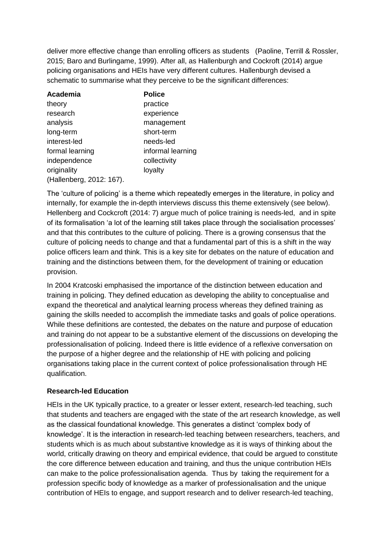deliver more effective change than enrolling officers as students (Paoline, Terrill & Rossler, 2015; Baro and Burlingame, 1999). After all, as Hallenburgh and Cockroft (2014) argue policing organisations and HEIs have very different cultures. Hallenburgh devised a schematic to summarise what they perceive to be the significant differences:

| Academia                 | <b>Police</b>     |
|--------------------------|-------------------|
| theory                   | practice          |
| research                 | experience        |
| analysis                 | management        |
| long-term                | short-term        |
| interest-led             | needs-led         |
| formal learning          | informal learning |
| independence             | collectivity      |
| originality              | loyalty           |
| (Hallenberg, 2012: 167). |                   |

The 'culture of policing' is a theme which repeatedly emerges in the literature, in policy and internally, for example the in-depth interviews discuss this theme extensively (see below). Hellenberg and Cockcroft (2014: 7) argue much of police training is needs-led, and in spite of its formalisation 'a lot of the learning still takes place through the socialisation processes' and that this contributes to the culture of policing. There is a growing consensus that the culture of policing needs to change and that a fundamental part of this is a shift in the way police officers learn and think. This is a key site for debates on the nature of education and training and the distinctions between them, for the development of training or education provision.

In 2004 Kratcoski emphasised the importance of the distinction between education and training in policing. They defined education as developing the ability to conceptualise and expand the theoretical and analytical learning process whereas they defined training as gaining the skills needed to accomplish the immediate tasks and goals of police operations. While these definitions are contested, the debates on the nature and purpose of education and training do not appear to be a substantive element of the discussions on developing the professionalisation of policing. Indeed there is little evidence of a reflexive conversation on the purpose of a higher degree and the relationship of HE with policing and policing organisations taking place in the current context of police professionalisation through HE qualification.

## <span id="page-11-0"></span>**Research-led Education**

HEIs in the UK typically practice, to a greater or lesser extent, research-led teaching, such that students and teachers are engaged with the state of the art research knowledge, as well as the classical foundational knowledge. This generates a distinct 'complex body of knowledge'. It is the interaction in research-led teaching between researchers, teachers, and students which is as much about substantive knowledge as it is ways of thinking about the world, critically drawing on theory and empirical evidence, that could be argued to constitute the core difference between education and training, and thus the unique contribution HEIs can make to the police professionalisation agenda. Thus by taking the requirement for a profession specific body of knowledge as a marker of professionalisation and the unique contribution of HEIs to engage, and support research and to deliver research-led teaching,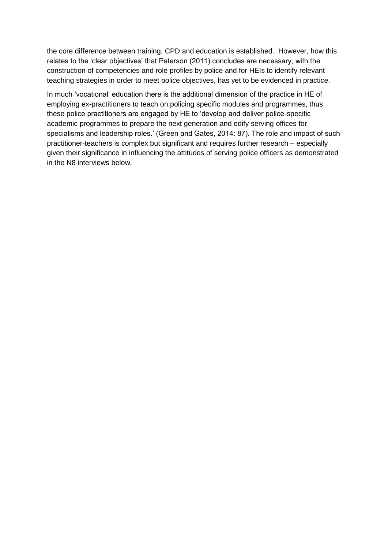the core difference between training, CPD and education is established. However, how this relates to the 'clear objectives' that Paterson (2011) concludes are necessary, with the construction of competencies and role profiles by police and for HEIs to identify relevant teaching strategies in order to meet police objectives, has yet to be evidenced in practice.

In much 'vocational' education there is the additional dimension of the practice in HE of employing ex-practitioners to teach on policing specific modules and programmes, thus these police practitioners are engaged by HE to 'develop and deliver police-specific academic programmes to prepare the next generation and edify serving offices for specialisms and leadership roles.' (Green and Gates, 2014: 87). The role and impact of such practitioner-teachers is complex but significant and requires further research – especially given their significance in influencing the attitudes of serving police officers as demonstrated in the N8 interviews below.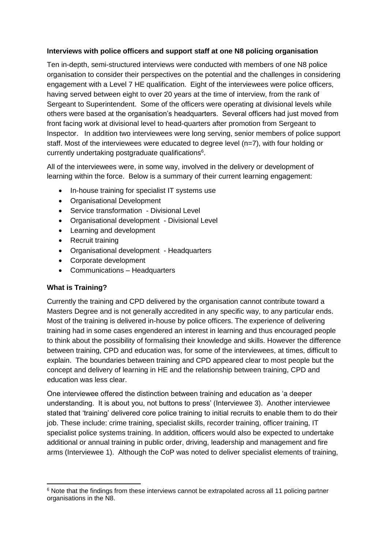#### <span id="page-13-0"></span>**Interviews with police officers and support staff at one N8 policing organisation**

Ten in-depth, semi-structured interviews were conducted with members of one N8 police organisation to consider their perspectives on the potential and the challenges in considering engagement with a Level 7 HE qualification. Eight of the interviewees were police officers, having served between eight to over 20 years at the time of interview, from the rank of Sergeant to Superintendent. Some of the officers were operating at divisional levels while others were based at the organisation's headquarters. Several officers had just moved from front facing work at divisional level to head-quarters after promotion from Sergeant to Inspector. In addition two interviewees were long serving, senior members of police support staff. Most of the interviewees were educated to degree level (n=7), with four holding or currently undertaking postgraduate qualifications<sup>6</sup>.

All of the interviewees were, in some way, involved in the delivery or development of learning within the force. Below is a summary of their current learning engagement:

- In-house training for specialist IT systems use
- Organisational Development
- Service transformation Divisional Level
- Organisational development Divisional Level
- Learning and development
- Recruit training
- Organisational development Headquarters
- Corporate development
- Communications Headquarters

#### <span id="page-13-1"></span>**What is Training?**

-

Currently the training and CPD delivered by the organisation cannot contribute toward a Masters Degree and is not generally accredited in any specific way, to any particular ends. Most of the training is delivered in-house by police officers. The experience of delivering training had in some cases engendered an interest in learning and thus encouraged people to think about the possibility of formalising their knowledge and skills. However the difference between training, CPD and education was, for some of the interviewees, at times, difficult to explain. The boundaries between training and CPD appeared clear to most people but the concept and delivery of learning in HE and the relationship between training, CPD and education was less clear.

One interviewee offered the distinction between training and education as 'a deeper understanding. It is about you, not buttons to press' (Interviewee 3). Another interviewee stated that 'training' delivered core police training to initial recruits to enable them to do their job. These include: crime training, specialist skills, recorder training, officer training, IT specialist police systems training. In addition, officers would also be expected to undertake additional or annual training in public order, driving, leadership and management and fire arms (Interviewee 1). Although the CoP was noted to deliver specialist elements of training,

<sup>&</sup>lt;sup>6</sup> Note that the findings from these interviews cannot be extrapolated across all 11 policing partner organisations in the N8.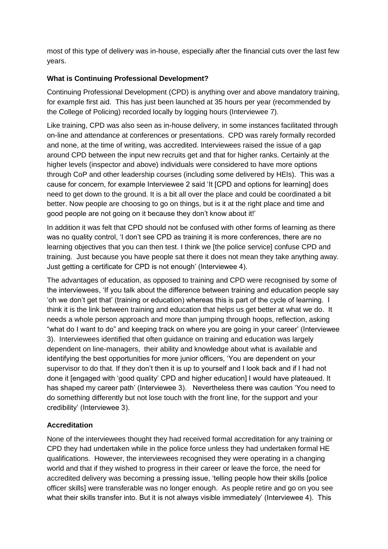most of this type of delivery was in-house, especially after the financial cuts over the last few years.

# <span id="page-14-0"></span>**What is Continuing Professional Development?**

Continuing Professional Development (CPD) is anything over and above mandatory training, for example first aid. This has just been launched at 35 hours per year (recommended by the College of Policing) recorded locally by logging hours (Interviewee 7).

Like training, CPD was also seen as in-house delivery, in some instances facilitated through on-line and attendance at conferences or presentations. CPD was rarely formally recorded and none, at the time of writing, was accredited. Interviewees raised the issue of a gap around CPD between the input new recruits get and that for higher ranks. Certainly at the higher levels (inspector and above) individuals were considered to have more options through CoP and other leadership courses (including some delivered by HEIs). This was a cause for concern, for example Interviewee 2 said 'It [CPD and options for learning] does need to get down to the ground. It is a bit all over the place and could be coordinated a bit better. Now people are choosing to go on things, but is it at the right place and time and good people are not going on it because they don't know about it!'

In addition it was felt that CPD should not be confused with other forms of learning as there was no quality control, 'I don't see CPD as training it is more conferences, there are no learning objectives that you can then test. I think we [the police service] confuse CPD and training. Just because you have people sat there it does not mean they take anything away. Just getting a certificate for CPD is not enough' (Interviewee 4).

The advantages of education, as opposed to training and CPD were recognised by some of the interviewees, 'If you talk about the difference between training and education people say 'oh we don't get that' (training or education) whereas this is part of the cycle of learning. I think it is the link between training and education that helps us get better at what we do. It needs a whole person approach and more than jumping through hoops, reflection, asking "what do I want to do" and keeping track on where you are going in your career' (Interviewee 3). Interviewees identified that often guidance on training and education was largely dependent on line-managers, their ability and knowledge about what is available and identifying the best opportunities for more junior officers, 'You are dependent on your supervisor to do that. If they don't then it is up to yourself and I look back and if I had not done it [engaged with 'good quality' CPD and higher education] I would have plateaued. It has shaped my career path' (Interviewee 3). Nevertheless there was caution 'You need to do something differently but not lose touch with the front line, for the support and your credibility' (Interviewee 3).

## <span id="page-14-1"></span>**Accreditation**

None of the interviewees thought they had received formal accreditation for any training or CPD they had undertaken while in the police force unless they had undertaken formal HE qualifications. However, the interviewees recognised they were operating in a changing world and that if they wished to progress in their career or leave the force, the need for accredited delivery was becoming a pressing issue, 'telling people how their skills [police officer skills] were transferable was no longer enough. As people retire and go on you see what their skills transfer into. But it is not always visible immediately' (Interviewee 4). This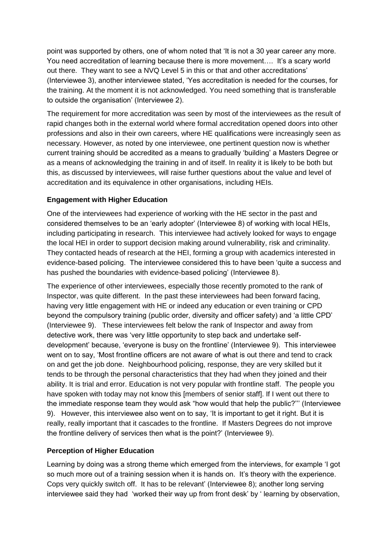point was supported by others, one of whom noted that 'It is not a 30 year career any more. You need accreditation of learning because there is more movement…. It's a scary world out there. They want to see a NVQ Level 5 in this or that and other accreditations' (Interviewee 3), another interviewee stated, 'Yes accreditation is needed for the courses, for the training. At the moment it is not acknowledged. You need something that is transferable to outside the organisation' (Interviewee 2).

The requirement for more accreditation was seen by most of the interviewees as the result of rapid changes both in the external world where formal accreditation opened doors into other professions and also in their own careers, where HE qualifications were increasingly seen as necessary. However, as noted by one interviewee, one pertinent question now is whether current training should be accredited as a means to gradually 'building' a Masters Degree or as a means of acknowledging the training in and of itself. In reality it is likely to be both but this, as discussed by interviewees, will raise further questions about the value and level of accreditation and its equivalence in other organisations, including HEIs.

## <span id="page-15-0"></span>**Engagement with Higher Education**

One of the interviewees had experience of working with the HE sector in the past and considered themselves to be an 'early adopter' (Interviewee 8) of working with local HEIs, including participating in research. This interviewee had actively looked for ways to engage the local HEI in order to support decision making around vulnerability, risk and criminality. They contacted heads of research at the HEI, forming a group with academics interested in evidence-based policing. The interviewee considered this to have been 'quite a success and has pushed the boundaries with evidence-based policing' (Interviewee 8).

The experience of other interviewees, especially those recently promoted to the rank of Inspector, was quite different. In the past these interviewees had been forward facing, having very little engagement with HE or indeed any education or even training or CPD beyond the compulsory training (public order, diversity and officer safety) and 'a little CPD' (Interviewee 9). These interviewees felt below the rank of Inspector and away from detective work, there was 'very little opportunity to step back and undertake selfdevelopment' because, 'everyone is busy on the frontline' (Interviewee 9). This interviewee went on to say, 'Most frontline officers are not aware of what is out there and tend to crack on and get the job done. Neighbourhood policing, response, they are very skilled but it tends to be through the personal characteristics that they had when they joined and their ability. It is trial and error. Education is not very popular with frontline staff. The people you have spoken with today may not know this [members of senior staff]. If I went out there to the immediate response team they would ask "how would that help the public?''' (Interviewee 9). However, this interviewee also went on to say, 'It is important to get it right. But it is really, really important that it cascades to the frontline. If Masters Degrees do not improve the frontline delivery of services then what is the point?' (Interviewee 9).

## <span id="page-15-1"></span>**Perception of Higher Education**

Learning by doing was a strong theme which emerged from the interviews, for example 'I got so much more out of a training session when it is hands on. It's theory with the experience. Cops very quickly switch off. It has to be relevant' (Interviewee 8); another long serving interviewee said they had 'worked their way up from front desk' by ' learning by observation,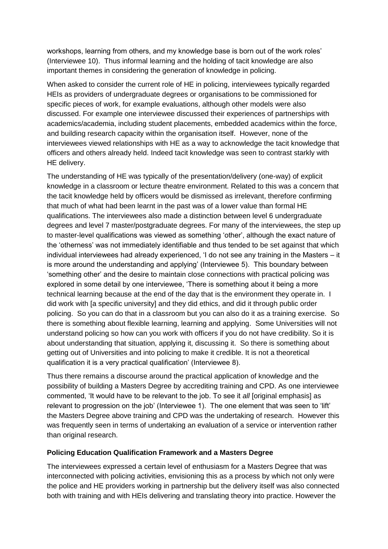workshops, learning from others, and my knowledge base is born out of the work roles' (Interviewee 10). Thus informal learning and the holding of tacit knowledge are also important themes in considering the generation of knowledge in policing.

When asked to consider the current role of HE in policing, interviewees typically regarded HEIs as providers of undergraduate degrees or organisations to be commissioned for specific pieces of work, for example evaluations, although other models were also discussed. For example one interviewee discussed their experiences of partnerships with academics/academia, including student placements, embedded academics within the force, and building research capacity within the organisation itself. However, none of the interviewees viewed relationships with HE as a way to acknowledge the tacit knowledge that officers and others already held. Indeed tacit knowledge was seen to contrast starkly with HE delivery.

The understanding of HE was typically of the presentation/delivery (one-way) of explicit knowledge in a classroom or lecture theatre environment. Related to this was a concern that the tacit knowledge held by officers would be dismissed as irrelevant, therefore confirming that much of what had been learnt in the past was of a lower value than formal HE qualifications. The interviewees also made a distinction between level 6 undergraduate degrees and level 7 master/postgraduate degrees. For many of the interviewees, the step up to master-level qualifications was viewed as something 'other', although the exact nature of the 'otherness' was not immediately identifiable and thus tended to be set against that which individual interviewees had already experienced, 'I do not see any training in the Masters – it is more around the understanding and applying' (Interviewee 5). This boundary between 'something other' and the desire to maintain close connections with practical policing was explored in some detail by one interviewee, 'There is something about it being a more technical learning because at the end of the day that is the environment they operate in. I did work with [a specific university] and they did ethics, and did it through public order policing. So you can do that in a classroom but you can also do it as a training exercise. So there is something about flexible learning, learning and applying. Some Universities will not understand policing so how can you work with officers if you do not have credibility. So it is about understanding that situation, applying it, discussing it. So there is something about getting out of Universities and into policing to make it credible. It is not a theoretical qualification it is a very practical qualification' (Interviewee 8).

Thus there remains a discourse around the practical application of knowledge and the possibility of building a Masters Degree by accrediting training and CPD. As one interviewee commented, 'It would have to be relevant to the job. To see it *all* [original emphasis] as relevant to progression on the job' (Interviewee 1). The one element that was seen to 'lift' the Masters Degree above training and CPD was the undertaking of research. However this was frequently seen in terms of undertaking an evaluation of a service or intervention rather than original research.

## <span id="page-16-0"></span>**Policing Education Qualification Framework and a Masters Degree**

The interviewees expressed a certain level of enthusiasm for a Masters Degree that was interconnected with policing activities, envisioning this as a process by which not only were the police and HE providers working in partnership but the delivery itself was also connected both with training and with HEIs delivering and translating theory into practice. However the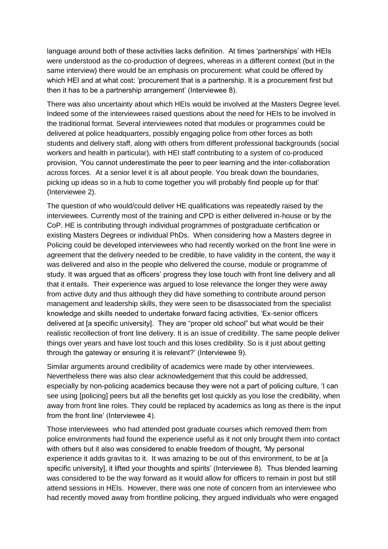language around both of these activities lacks definition. At times 'partnerships' with HEIs were understood as the co-production of degrees, whereas in a different context (but in the same interview) there would be an emphasis on procurement: what could be offered by which HEI and at what cost: 'procurement that is a partnership. It is a procurement first but then it has to be a partnership arrangement' (Interviewee 8).

There was also uncertainty about which HEIs would be involved at the Masters Degree level. Indeed some of the interviewees raised questions about the need for HEIs to be involved in the traditional format. Several interviewees noted that modules or programmes could be delivered at police headquarters, possibly engaging police from other forces as both students and delivery staff, along with others from different professional backgrounds (social workers and health in particular), with HEI staff contributing to a system of co-produced provision, 'You cannot underestimate the peer to peer learning and the inter-collaboration across forces. At a senior level it is all about people. You break down the boundaries, picking up ideas so in a hub to come together you will probably find people up for that' (Interviewee 2).

The question of who would/could deliver HE qualifications was repeatedly raised by the interviewees. Currently most of the training and CPD is either delivered in-house or by the CoP. HE is contributing through individual programmes of postgraduate certification or existing Masters Degrees or individual PhDs. When considering how a Masters degree in Policing could be developed interviewees who had recently worked on the front line were in agreement that the delivery needed to be credible, to have validity in the content, the way it was delivered and also in the people who delivered the course, module or programme of study. It was argued that as officers' progress they lose touch with front line delivery and all that it entails. Their experience was argued to lose relevance the longer they were away from active duty and thus although they did have something to contribute around person management and leadership skills, they were seen to be disassociated from the specialist knowledge and skills needed to undertake forward facing activities, 'Ex-senior officers delivered at [a specific university]. They are "proper old school" but what would be their realistic recollection of front line delivery. It is an issue of credibility. The same people deliver things over years and have lost touch and this loses credibility. So is it just about getting through the gateway or ensuring it is relevant?' (Interviewee 9).

Similar arguments around credibility of academics were made by other interviewees. Nevertheless there was also clear acknowledgement that this could be addressed, especially by non-policing academics because they were not a part of policing culture, 'I can see using [policing] peers but all the benefits get lost quickly as you lose the credibility, when away from front line roles. They could be replaced by academics as long as there is the input from the front line' (Interviewee 4).

Those interviewees who had attended post graduate courses which removed them from police environments had found the experience useful as it not only brought them into contact with others but it also was considered to enable freedom of thought, 'My personal experience it adds gravitas to it. It was amazing to be out of this environment, to be at [a specific university], it lifted your thoughts and spirits' (Interviewee 8). Thus blended learning was considered to be the way forward as it would allow for officers to remain in post but still attend sessions in HEIs. However, there was one note of concern from an interviewee who had recently moved away from frontline policing, they argued individuals who were engaged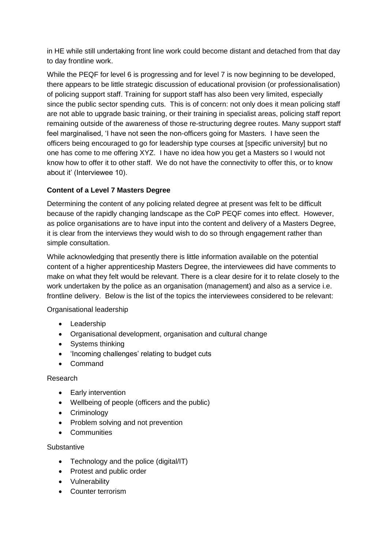in HE while still undertaking front line work could become distant and detached from that day to day frontline work.

While the PEQF for level 6 is progressing and for level 7 is now beginning to be developed, there appears to be little strategic discussion of educational provision (or professionalisation) of policing support staff. Training for support staff has also been very limited, especially since the public sector spending cuts. This is of concern: not only does it mean policing staff are not able to upgrade basic training, or their training in specialist areas, policing staff report remaining outside of the awareness of those re-structuring degree routes. Many support staff feel marginalised, 'I have not seen the non-officers going for Masters. I have seen the officers being encouraged to go for leadership type courses at [specific university] but no one has come to me offering XYZ. I have no idea how you get a Masters so I would not know how to offer it to other staff. We do not have the connectivity to offer this, or to know about it' (Interviewee 10).

# <span id="page-18-0"></span>**Content of a Level 7 Masters Degree**

Determining the content of any policing related degree at present was felt to be difficult because of the rapidly changing landscape as the CoP PEQF comes into effect. However, as police organisations are to have input into the content and delivery of a Masters Degree, it is clear from the interviews they would wish to do so through engagement rather than simple consultation.

While acknowledging that presently there is little information available on the potential content of a higher apprenticeship Masters Degree, the interviewees did have comments to make on what they felt would be relevant. There is a clear desire for it to relate closely to the work undertaken by the police as an organisation (management) and also as a service i.e. frontline delivery. Below is the list of the topics the interviewees considered to be relevant:

Organisational leadership

- Leadership
- Organisational development, organisation and cultural change
- Systems thinking
- 'Incoming challenges' relating to budget cuts
- Command

## Research

- Early intervention
- Wellbeing of people (officers and the public)
- Criminology
- Problem solving and not prevention
- **•** Communities

#### **Substantive**

- Technology and the police (digital/IT)
- Protest and public order
- Vulnerability
- Counter terrorism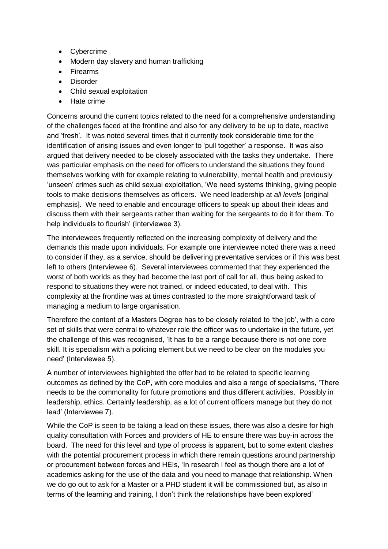- Cybercrime
- Modern day slavery and human trafficking
- **•** Firearms
- Disorder
- Child sexual exploitation
- Hate crime

Concerns around the current topics related to the need for a comprehensive understanding of the challenges faced at the frontline and also for any delivery to be up to date, reactive and 'fresh'. It was noted several times that it currently took considerable time for the identification of arising issues and even longer to 'pull together' a response. It was also argued that delivery needed to be closely associated with the tasks they undertake. There was particular emphasis on the need for officers to understand the situations they found themselves working with for example relating to vulnerability, mental health and previously 'unseen' crimes such as child sexual exploitation, 'We need systems thinking, giving people tools to make decisions themselves as officers. We need leadership at *all levels* [original emphasis]. We need to enable and encourage officers to speak up about their ideas and discuss them with their sergeants rather than waiting for the sergeants to do it for them. To help individuals to flourish' (Interviewee 3).

The interviewees frequently reflected on the increasing complexity of delivery and the demands this made upon individuals. For example one interviewee noted there was a need to consider if they, as a service, should be delivering preventative services or if this was best left to others (Interviewee 6). Several interviewees commented that they experienced the worst of both worlds as they had become the last port of call for all, thus being asked to respond to situations they were not trained, or indeed educated, to deal with. This complexity at the frontline was at times contrasted to the more straightforward task of managing a medium to large organisation.

Therefore the content of a Masters Degree has to be closely related to 'the job', with a core set of skills that were central to whatever role the officer was to undertake in the future, yet the challenge of this was recognised, 'It has to be a range because there is not one core skill. It is specialism with a policing element but we need to be clear on the modules you need' (Interviewee 5).

A number of interviewees highlighted the offer had to be related to specific learning outcomes as defined by the CoP, with core modules and also a range of specialisms, 'There needs to be the commonality for future promotions and thus different activities. Possibly in leadership, ethics. Certainly leadership, as a lot of current officers manage but they do not lead' (Interviewee 7).

While the CoP is seen to be taking a lead on these issues, there was also a desire for high quality consultation with Forces and providers of HE to ensure there was buy-in across the board. The need for this level and type of process is apparent, but to some extent clashes with the potential procurement process in which there remain questions around partnership or procurement between forces and HEIs, 'In research I feel as though there are a lot of academics asking for the use of the data and you need to manage that relationship. When we do go out to ask for a Master or a PHD student it will be commissioned but, as also in terms of the learning and training, I don't think the relationships have been explored'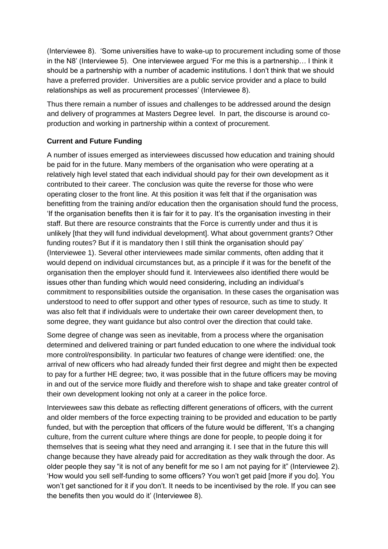(Interviewee 8). 'Some universities have to wake-up to procurement including some of those in the N8' (Interviewee 5). One interviewee argued 'For me this is a partnership… I think it should be a partnership with a number of academic institutions. I don't think that we should have a preferred provider. Universities are a public service provider and a place to build relationships as well as procurement processes' (Interviewee 8).

Thus there remain a number of issues and challenges to be addressed around the design and delivery of programmes at Masters Degree level. In part, the discourse is around coproduction and working in partnership within a context of procurement.

## <span id="page-20-0"></span>**Current and Future Funding**

A number of issues emerged as interviewees discussed how education and training should be paid for in the future. Many members of the organisation who were operating at a relatively high level stated that each individual should pay for their own development as it contributed to their career. The conclusion was quite the reverse for those who were operating closer to the front line. At this position it was felt that if the organisation was benefitting from the training and/or education then the organisation should fund the process, 'If the organisation benefits then it is fair for it to pay. It's the organisation investing in their staff. But there are resource constraints that the Force is currently under and thus it is unlikely [that they will fund individual development]. What about government grants? Other funding routes? But if it is mandatory then I still think the organisation should pay' (Interviewee 1). Several other interviewees made similar comments, often adding that it would depend on individual circumstances but, as a principle if it was for the benefit of the organisation then the employer should fund it. Interviewees also identified there would be issues other than funding which would need considering, including an individual's commitment to responsibilities outside the organisation. In these cases the organisation was understood to need to offer support and other types of resource, such as time to study. It was also felt that if individuals were to undertake their own career development then, to some degree, they want guidance but also control over the direction that could take.

Some degree of change was seen as inevitable, from a process where the organisation determined and delivered training or part funded education to one where the individual took more control/responsibility. In particular two features of change were identified: one, the arrival of new officers who had already funded their first degree and might then be expected to pay for a further HE degree; two, it was possible that in the future officers may be moving in and out of the service more fluidly and therefore wish to shape and take greater control of their own development looking not only at a career in the police force.

Interviewees saw this debate as reflecting different generations of officers, with the current and older members of the force expecting training to be provided and education to be partly funded, but with the perception that officers of the future would be different, 'It's a changing culture, from the current culture where things are done for people, to people doing it for themselves that is seeing what they need and arranging it. I see that in the future this will change because they have already paid for accreditation as they walk through the door. As older people they say "it is not of any benefit for me so I am not paying for it" (Interviewee 2). 'How would you sell self-funding to some officers? You won't get paid [more if you do]. You won't get sanctioned for it if you don't. It needs to be incentivised by the role. If you can see the benefits then you would do it' (Interviewee 8).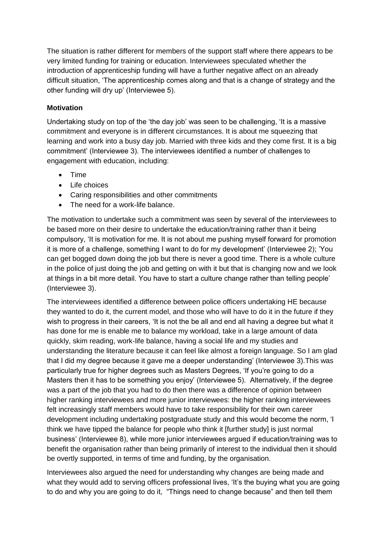The situation is rather different for members of the support staff where there appears to be very limited funding for training or education. Interviewees speculated whether the introduction of apprenticeship funding will have a further negative affect on an already difficult situation, 'The apprenticeship comes along and that is a change of strategy and the other funding will dry up' (Interviewee 5).

## <span id="page-21-0"></span>**Motivation**

Undertaking study on top of the 'the day job' was seen to be challenging, 'It is a massive commitment and everyone is in different circumstances. It is about me squeezing that learning and work into a busy day job. Married with three kids and they come first. It is a big commitment' (Interviewee 3). The interviewees identified a number of challenges to engagement with education, including:

- Time
- Life choices
- Caring responsibilities and other commitments
- The need for a work-life balance.

The motivation to undertake such a commitment was seen by several of the interviewees to be based more on their desire to undertake the education/training rather than it being compulsory, 'It is motivation for me. It is not about me pushing myself forward for promotion it is more of a challenge, something I want to do for my development' (Interviewee 2); 'You can get bogged down doing the job but there is never a good time. There is a whole culture in the police of just doing the job and getting on with it but that is changing now and we look at things in a bit more detail. You have to start a culture change rather than telling people' (Interviewee 3).

The interviewees identified a difference between police officers undertaking HE because they wanted to do it, the current model, and those who will have to do it in the future if they wish to progress in their careers, 'It is not the be all and end all having a degree but what it has done for me is enable me to balance my workload, take in a large amount of data quickly, skim reading, work-life balance, having a social life and my studies and understanding the literature because it can feel like almost a foreign language. So I am glad that I did my degree because it gave me a deeper understanding' (Interviewee 3).This was particularly true for higher degrees such as Masters Degrees, 'If you're going to do a Masters then it has to be something you enjoy' (Interviewee 5). Alternatively, if the degree was a part of the job that you had to do then there was a difference of opinion between higher ranking interviewees and more junior interviewees: the higher ranking interviewees felt increasingly staff members would have to take responsibility for their own career development including undertaking postgraduate study and this would become the norm, 'I think we have tipped the balance for people who think it [further study] is just normal business' (Interviewee 8), while more junior interviewees argued if education/training was to benefit the organisation rather than being primarily of interest to the individual then it should be overtly supported, in terms of time and funding, by the organisation.

Interviewees also argued the need for understanding why changes are being made and what they would add to serving officers professional lives, 'It's the buying what you are going to do and why you are going to do it, "Things need to change because" and then tell them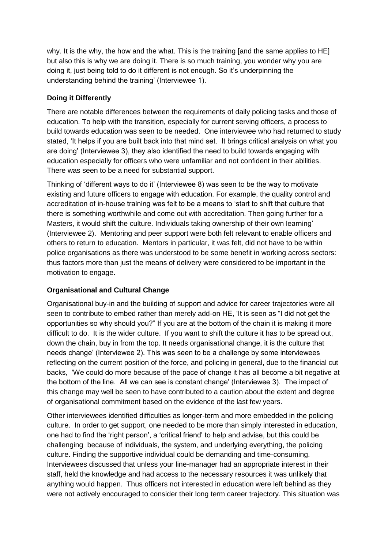why. It is the why, the how and the what. This is the training [and the same applies to HE] but also this is why we are doing it. There is so much training, you wonder why you are doing it, just being told to do it different is not enough. So it's underpinning the understanding behind the training' (Interviewee 1).

# <span id="page-22-0"></span>**Doing it Differently**

There are notable differences between the requirements of daily policing tasks and those of education. To help with the transition, especially for current serving officers, a process to build towards education was seen to be needed. One interviewee who had returned to study stated, 'It helps if you are built back into that mind set. It brings critical analysis on what you are doing' (Interviewee 3), they also identified the need to build towards engaging with education especially for officers who were unfamiliar and not confident in their abilities. There was seen to be a need for substantial support.

Thinking of 'different ways to do it' (Interviewee 8) was seen to be the way to motivate existing and future officers to engage with education. For example, the quality control and accreditation of in-house training was felt to be a means to 'start to shift that culture that there is something worthwhile and come out with accreditation. Then going further for a Masters, it would shift the culture. Individuals taking ownership of their own learning' (Interviewee 2). Mentoring and peer support were both felt relevant to enable officers and others to return to education. Mentors in particular, it was felt, did not have to be within police organisations as there was understood to be some benefit in working across sectors: thus factors more than just the means of delivery were considered to be important in the motivation to engage.

## <span id="page-22-1"></span>**Organisational and Cultural Change**

Organisational buy-in and the building of support and advice for career trajectories were all seen to contribute to embed rather than merely add-on HE, 'It is seen as "I did not get the opportunities so why should you?" If you are at the bottom of the chain it is making it more difficult to do. It is the wider culture. If you want to shift the culture it has to be spread out, down the chain, buy in from the top. It needs organisational change, it is the culture that needs change' (Interviewee 2). This was seen to be a challenge by some interviewees reflecting on the current position of the force, and policing in general, due to the financial cut backs, 'We could do more because of the pace of change it has all become a bit negative at the bottom of the line. All we can see is constant change' (Interviewee 3). The impact of this change may well be seen to have contributed to a caution about the extent and degree of organisational commitment based on the evidence of the last few years.

Other interviewees identified difficulties as longer-term and more embedded in the policing culture. In order to get support, one needed to be more than simply interested in education, one had to find the 'right person', a 'critical friend' to help and advise, but this could be challenging because of individuals, the system, and underlying everything, the policing culture. Finding the supportive individual could be demanding and time-consuming. Interviewees discussed that unless your line-manager had an appropriate interest in their staff, held the knowledge and had access to the necessary resources it was unlikely that anything would happen. Thus officers not interested in education were left behind as they were not actively encouraged to consider their long term career trajectory. This situation was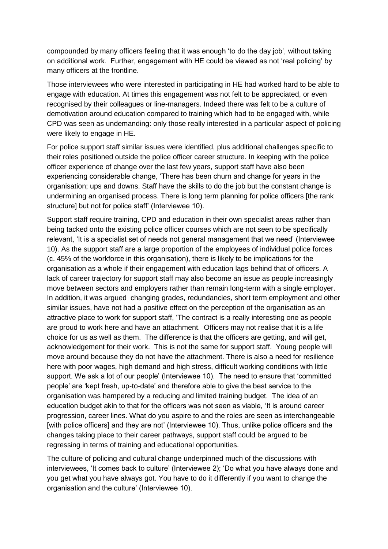compounded by many officers feeling that it was enough 'to do the day job', without taking on additional work. Further, engagement with HE could be viewed as not 'real policing' by many officers at the frontline.

Those interviewees who were interested in participating in HE had worked hard to be able to engage with education. At times this engagement was not felt to be appreciated, or even recognised by their colleagues or line-managers. Indeed there was felt to be a culture of demotivation around education compared to training which had to be engaged with, while CPD was seen as undemanding: only those really interested in a particular aspect of policing were likely to engage in HE.

For police support staff similar issues were identified, plus additional challenges specific to their roles positioned outside the police officer career structure. In keeping with the police officer experience of change over the last few years, support staff have also been experiencing considerable change, 'There has been churn and change for years in the organisation; ups and downs. Staff have the skills to do the job but the constant change is undermining an organised process. There is long term planning for police officers [the rank structure] but not for police staff' (Interviewee 10).

Support staff require training, CPD and education in their own specialist areas rather than being tacked onto the existing police officer courses which are not seen to be specifically relevant, 'It is a specialist set of needs not general management that we need' (Interviewee 10). As the support staff are a large proportion of the employees of individual police forces (c. 45% of the workforce in this organisation), there is likely to be implications for the organisation as a whole if their engagement with education lags behind that of officers. A lack of career trajectory for support staff may also become an issue as people increasingly move between sectors and employers rather than remain long-term with a single employer. In addition, it was argued changing grades, redundancies, short term employment and other similar issues, have not had a positive effect on the perception of the organisation as an attractive place to work for support staff, 'The contract is a really interesting one as people are proud to work here and have an attachment. Officers may not realise that it is a life choice for us as well as them. The difference is that the officers are getting, and will get, acknowledgement for their work. This is not the same for support staff. Young people will move around because they do not have the attachment. There is also a need for resilience here with poor wages, high demand and high stress, difficult working conditions with little support. We ask a lot of our people' (Interviewee 10). The need to ensure that 'committed people' are 'kept fresh, up-to-date' and therefore able to give the best service to the organisation was hampered by a reducing and limited training budget. The idea of an education budget akin to that for the officers was not seen as viable, 'It is around career progression, career lines. What do you aspire to and the roles are seen as interchangeable [with police officers] and they are not' (Interviewee 10). Thus, unlike police officers and the changes taking place to their career pathways, support staff could be argued to be regressing in terms of training and educational opportunities.

The culture of policing and cultural change underpinned much of the discussions with interviewees, 'It comes back to culture' (Interviewee 2); 'Do what you have always done and you get what you have always got. You have to do it differently if you want to change the organisation and the culture' (Interviewee 10).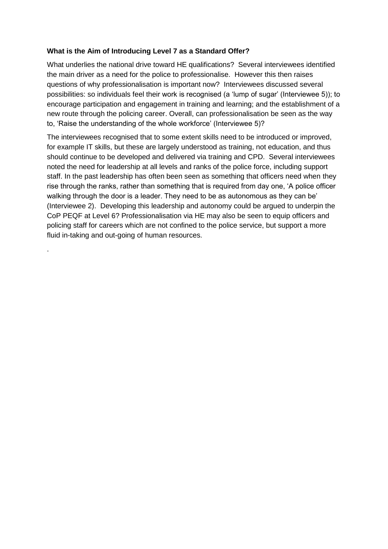## <span id="page-24-0"></span>**What is the Aim of Introducing Level 7 as a Standard Offer?**

.

What underlies the national drive toward HE qualifications? Several interviewees identified the main driver as a need for the police to professionalise. However this then raises questions of why professionalisation is important now? Interviewees discussed several possibilities: so individuals feel their work is recognised (a 'lump of sugar' (Interviewee 5)); to encourage participation and engagement in training and learning; and the establishment of a new route through the policing career. Overall, can professionalisation be seen as the way to, 'Raise the understanding of the whole workforce' (Interviewee 5)?

The interviewees recognised that to some extent skills need to be introduced or improved, for example IT skills, but these are largely understood as training, not education, and thus should continue to be developed and delivered via training and CPD. Several interviewees noted the need for leadership at all levels and ranks of the police force, including support staff. In the past leadership has often been seen as something that officers need when they rise through the ranks, rather than something that is required from day one, 'A police officer walking through the door is a leader. They need to be as autonomous as they can be' (Interviewee 2). Developing this leadership and autonomy could be argued to underpin the CoP PEQF at Level 6? Professionalisation via HE may also be seen to equip officers and policing staff for careers which are not confined to the police service, but support a more fluid in-taking and out-going of human resources.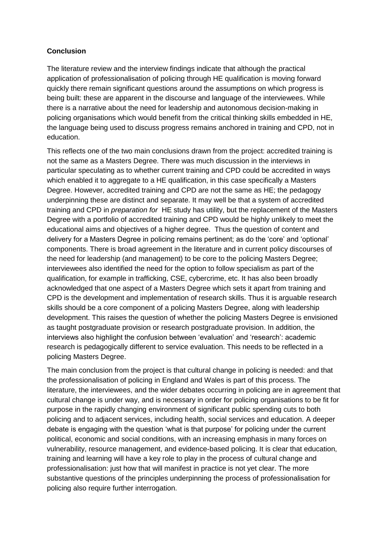## <span id="page-25-0"></span>**Conclusion**

The literature review and the interview findings indicate that although the practical application of professionalisation of policing through HE qualification is moving forward quickly there remain significant questions around the assumptions on which progress is being built: these are apparent in the discourse and language of the interviewees. While there is a narrative about the need for leadership and autonomous decision-making in policing organisations which would benefit from the critical thinking skills embedded in HE, the language being used to discuss progress remains anchored in training and CPD, not in education.

This reflects one of the two main conclusions drawn from the project: accredited training is not the same as a Masters Degree. There was much discussion in the interviews in particular speculating as to whether current training and CPD could be accredited in ways which enabled it to aggregate to a HE qualification, in this case specifically a Masters Degree. However, accredited training and CPD are not the same as HE; the pedagogy underpinning these are distinct and separate. It may well be that a system of accredited training and CPD in *preparation for* HE study has utility, but the replacement of the Masters Degree with a portfolio of accredited training and CPD would be highly unlikely to meet the educational aims and objectives of a higher degree. Thus the question of content and delivery for a Masters Degree in policing remains pertinent; as do the 'core' and 'optional' components. There is broad agreement in the literature and in current policy discourses of the need for leadership (and management) to be core to the policing Masters Degree; interviewees also identified the need for the option to follow specialism as part of the qualification, for example in trafficking, CSE, cybercrime, etc. It has also been broadly acknowledged that one aspect of a Masters Degree which sets it apart from training and CPD is the development and implementation of research skills. Thus it is arguable research skills should be a core component of a policing Masters Degree, along with leadership development. This raises the question of whether the policing Masters Degree is envisioned as taught postgraduate provision or research postgraduate provision. In addition, the interviews also highlight the confusion between 'evaluation' and 'research': academic research is pedagogically different to service evaluation. This needs to be reflected in a policing Masters Degree.

The main conclusion from the project is that cultural change in policing is needed: and that the professionalisation of policing in England and Wales is part of this process. The literature, the interviewees, and the wider debates occurring in policing are in agreement that cultural change is under way, and is necessary in order for policing organisations to be fit for purpose in the rapidly changing environment of significant public spending cuts to both policing and to adjacent services, including health, social services and education. A deeper debate is engaging with the question 'what is that purpose' for policing under the current political, economic and social conditions, with an increasing emphasis in many forces on vulnerability, resource management, and evidence-based policing. It is clear that education, training and learning will have a key role to play in the process of cultural change and professionalisation: just how that will manifest in practice is not yet clear. The more substantive questions of the principles underpinning the process of professionalisation for policing also require further interrogation.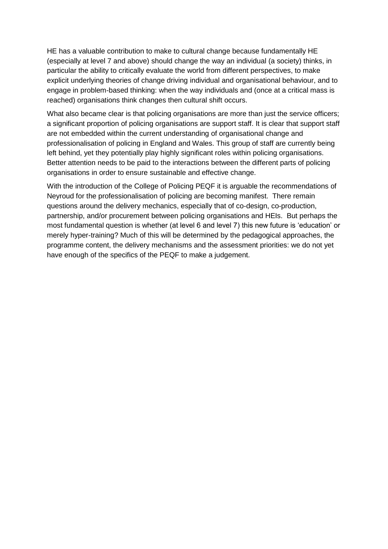HE has a valuable contribution to make to cultural change because fundamentally HE (especially at level 7 and above) should change the way an individual (a society) thinks, in particular the ability to critically evaluate the world from different perspectives, to make explicit underlying theories of change driving individual and organisational behaviour, and to engage in problem-based thinking: when the way individuals and (once at a critical mass is reached) organisations think changes then cultural shift occurs.

What also became clear is that policing organisations are more than just the service officers; a significant proportion of policing organisations are support staff. It is clear that support staff are not embedded within the current understanding of organisational change and professionalisation of policing in England and Wales. This group of staff are currently being left behind, yet they potentially play highly significant roles within policing organisations. Better attention needs to be paid to the interactions between the different parts of policing organisations in order to ensure sustainable and effective change.

With the introduction of the College of Policing PEQF it is arguable the recommendations of Neyroud for the professionalisation of policing are becoming manifest. There remain questions around the delivery mechanics, especially that of co-design, co-production, partnership, and/or procurement between policing organisations and HEIs. But perhaps the most fundamental question is whether (at level 6 and level 7) this new future is 'education' or merely hyper-training? Much of this will be determined by the pedagogical approaches, the programme content, the delivery mechanisms and the assessment priorities: we do not yet have enough of the specifics of the PEQF to make a judgement.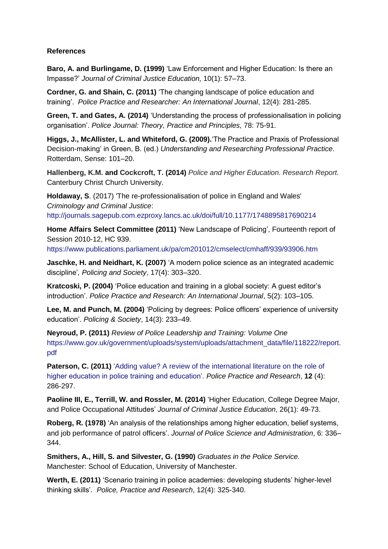#### <span id="page-27-0"></span>**References**

**Baro, A. and Burlingame, D. (1999)** 'Law Enforcement and Higher Education: Is there an Impasse?' *Journal of Criminal Justice Education,* 10(1): 57–73.

**Cordner, G. and Shain, C. (2011)** 'The changing landscape of police education and training'. *Police Practice and Researcher: An International Journal*, 12(4): 281-285.

**Green, T. and Gates, A. (2014)** 'Understanding the process of professionalisation in policing organisation'. *Police Journal: Theory, Practice and Principles,* 78: 75-91.

**Higgs, J., McAllister, L. and Whiteford, G. (2009).**'The Practice and Praxis of Professional Decision-making' in Green, B. (ed.) *Understanding and Researching Professional Practice*. Rotterdam, Sense: 101–20.

**Hallenberg, K.M. and Cockcroft, T. (2014)** *Police and Higher Education. Research Report.* Canterbury Christ Church University.

**Holdaway, S**. (2017) 'The re-professionalisation of police in England and Wales' *Criminology and Criminal Justice*: <http://journals.sagepub.com.ezproxy.lancs.ac.uk/doi/full/10.1177/1748895817690214>

**Home Affairs Select Committee (2011)** 'New Landscape of Policing', Fourteenth report of Session 2010-12, HC 939.

<https://www.publications.parliament.uk/pa/cm201012/cmselect/cmhaff/939/93906.htm>

**Jaschke, H. and Neidhart, K. (2007)** 'A modern police science as an integrated academic discipline'*, Policing and Society*, 17(4): 303–320.

**Kratcoski, P. (2004)** 'Police education and training in a global society: A guest editor's introduction'. *Police Practice and Research: An International Journal*, 5(2): 103–105.

**Lee, M. and Punch, M. (2004)** 'Policing by degrees: Police officers' experience of university education'. *Policing & Society*, 14(3): 233–49.

**Neyroud, P. (2011)** *Review of Police Leadership and Training: Volume One* [https://www.gov.uk/government/uploads/system/uploads/attachment\\_data/file/118222/report.](https://www.gov.uk/government/uploads/system/uploads/attachment_data/file/118222/report.pdf) [pdf](https://www.gov.uk/government/uploads/system/uploads/attachment_data/file/118222/report.pdf)

**Paterson, C. (2011)** 'Adding value? A review of the international literature on the role of [higher education in police training and education'.](http://shura.shu.ac.uk/9114/) *Police Practice and Research*, **12** (4): 286-297.

**[Paoline III,](http://www.tandfonline.com/author/Paoline%2C+Eugene+A+III) E., [Terrill,](http://www.tandfonline.com/author/Terrill%2C+William) W. and [Rossler,](http://www.tandfonline.com/author/Rossler%2C+Michael+T) M. (2014)** 'Higher Education, College Degree Major, and Police Occupational Attitudes' *[Journal of Criminal Justice Education](http://www.tandfonline.com/toc/rcje20/current)*, 26(1): 49-73.

**Roberg, R. (1978)** 'An analysis of the relationships among higher education, belief systems, and job performance of patrol officers'. *Journal of Police Science and Administration*, 6: 336– 344.

**Smithers, A., Hill, S. and Silvester, G. (1990)** *Graduates in the Police Service.* Manchester: School of Education, University of Manchester.

**Werth, E. (2011)** 'Scenario training in police academies: developing students' higher-level thinking skills'*. Police, Practice and Research*, 12(4): 325-340.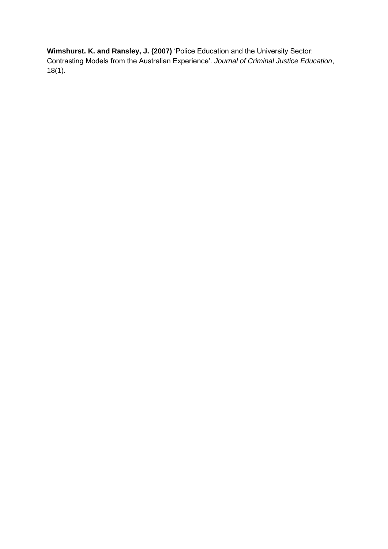**[Wimshurst. K. and](http://www.tandfonline.com/author/Wimshurst%2C+Kerry) [Ransley, J. \(](http://www.tandfonline.com/author/Ransley%2C+Janet)2007)** 'Police Education and the University Sector: Contrasting Models from the Australian Experience'. *Journal of Criminal Justice Education*, 18(1).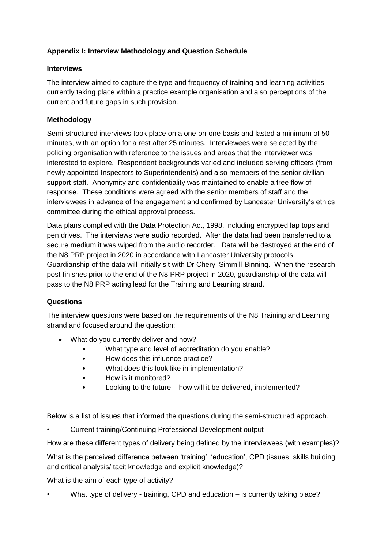# <span id="page-29-0"></span>**Appendix I: Interview Methodology and Question Schedule**

#### <span id="page-29-1"></span>**Interviews**

The interview aimed to capture the type and frequency of training and learning activities currently taking place within a practice example organisation and also perceptions of the current and future gaps in such provision.

## <span id="page-29-2"></span>**Methodology**

Semi-structured interviews took place on a one-on-one basis and lasted a minimum of 50 minutes, with an option for a rest after 25 minutes. Interviewees were selected by the policing organisation with reference to the issues and areas that the interviewer was interested to explore. Respondent backgrounds varied and included serving officers (from newly appointed Inspectors to Superintendents) and also members of the senior civilian support staff. Anonymity and confidentiality was maintained to enable a free flow of response. These conditions were agreed with the senior members of staff and the interviewees in advance of the engagement and confirmed by Lancaster University's ethics committee during the ethical approval process.

Data plans complied with the Data Protection Act, 1998, including encrypted lap tops and pen drives. The interviews were audio recorded. After the data had been transferred to a secure medium it was wiped from the audio recorder. Data will be destroyed at the end of the N8 PRP project in 2020 in accordance with Lancaster University protocols. Guardianship of the data will initially sit with Dr Cheryl Simmill-Binning. When the research post finishes prior to the end of the N8 PRP project in 2020, guardianship of the data will pass to the N8 PRP acting lead for the Training and Learning strand.

## <span id="page-29-3"></span>**Questions**

The interview questions were based on the requirements of the N8 Training and Learning strand and focused around the question:

- What do you currently deliver and how?
	- What type and level of accreditation do you enable?
	- How does this influence practice?
	- What does this look like in implementation?
	- How is it monitored?
	- Looking to the future how will it be delivered, implemented?

Below is a list of issues that informed the questions during the semi-structured approach.

• Current training/Continuing Professional Development output

How are these different types of delivery being defined by the interviewees (with examples)?

What is the perceived difference between 'training', 'education', CPD (issues: skills building and critical analysis/ tacit knowledge and explicit knowledge)?

What is the aim of each type of activity?

• What type of delivery - training, CPD and education – is currently taking place?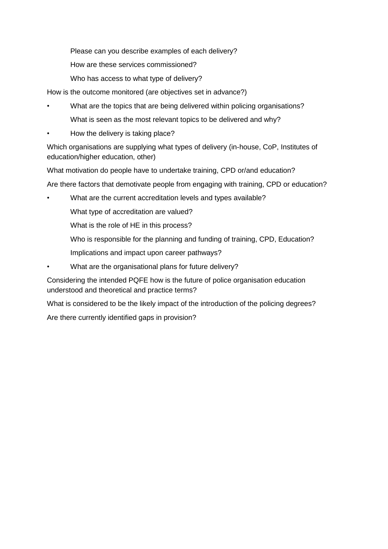Please can you describe examples of each delivery?

How are these services commissioned?

Who has access to what type of delivery?

How is the outcome monitored (are objectives set in advance?)

- What are the topics that are being delivered within policing organisations? What is seen as the most relevant topics to be delivered and why?
- How the delivery is taking place?

Which organisations are supplying what types of delivery (in-house, CoP, Institutes of education/higher education, other)

What motivation do people have to undertake training, CPD or/and education?

Are there factors that demotivate people from engaging with training, CPD or education?

• What are the current accreditation levels and types available?

What type of accreditation are valued?

What is the role of HE in this process?

Who is responsible for the planning and funding of training, CPD, Education?

Implications and impact upon career pathways?

• What are the organisational plans for future delivery?

Considering the intended PQFE how is the future of police organisation education understood and theoretical and practice terms?

What is considered to be the likely impact of the introduction of the policing degrees?

Are there currently identified gaps in provision?